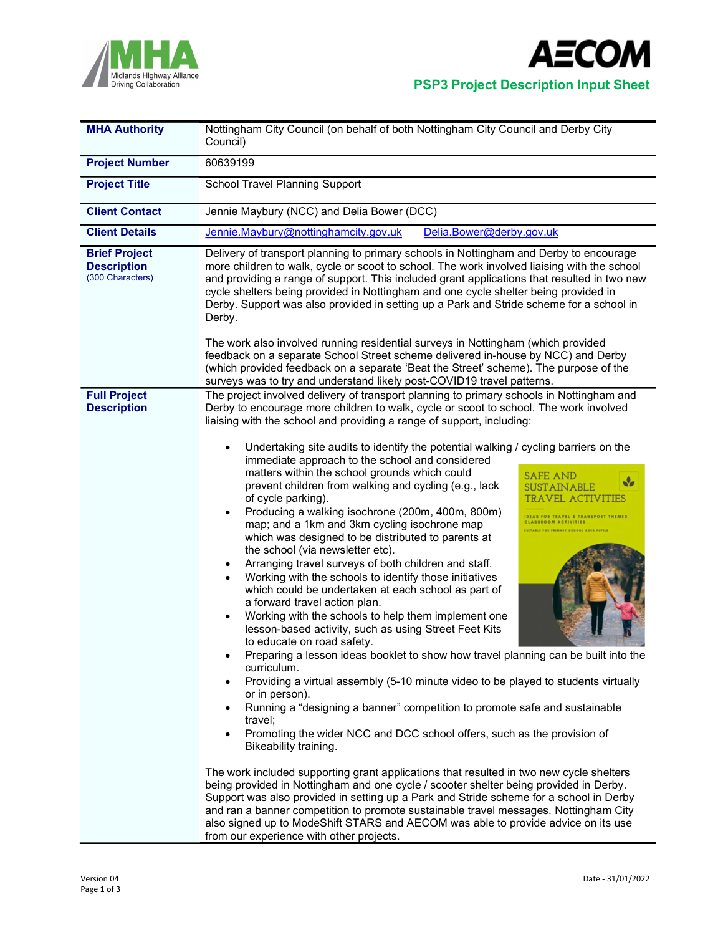



| <b>MHA Authority</b>                                           | Nottingham City Council (on behalf of both Nottingham City Council and Derby City<br>Council)                                                                                                                                                                                                                                                                                                                                                                                                                                                                                                                                                                                                                                                                                                                                                                                                                                                                                                                                                                                                                                                                                                                                                                                                    |
|----------------------------------------------------------------|--------------------------------------------------------------------------------------------------------------------------------------------------------------------------------------------------------------------------------------------------------------------------------------------------------------------------------------------------------------------------------------------------------------------------------------------------------------------------------------------------------------------------------------------------------------------------------------------------------------------------------------------------------------------------------------------------------------------------------------------------------------------------------------------------------------------------------------------------------------------------------------------------------------------------------------------------------------------------------------------------------------------------------------------------------------------------------------------------------------------------------------------------------------------------------------------------------------------------------------------------------------------------------------------------|
| <b>Project Number</b>                                          | 60639199                                                                                                                                                                                                                                                                                                                                                                                                                                                                                                                                                                                                                                                                                                                                                                                                                                                                                                                                                                                                                                                                                                                                                                                                                                                                                         |
| <b>Project Title</b>                                           | <b>School Travel Planning Support</b>                                                                                                                                                                                                                                                                                                                                                                                                                                                                                                                                                                                                                                                                                                                                                                                                                                                                                                                                                                                                                                                                                                                                                                                                                                                            |
| <b>Client Contact</b>                                          | Jennie Maybury (NCC) and Delia Bower (DCC)                                                                                                                                                                                                                                                                                                                                                                                                                                                                                                                                                                                                                                                                                                                                                                                                                                                                                                                                                                                                                                                                                                                                                                                                                                                       |
| <b>Client Details</b>                                          | Jennie.Maybury@nottinghamcity.gov.uk<br>Delia.Bower@derby.gov.uk                                                                                                                                                                                                                                                                                                                                                                                                                                                                                                                                                                                                                                                                                                                                                                                                                                                                                                                                                                                                                                                                                                                                                                                                                                 |
| <b>Brief Project</b><br><b>Description</b><br>(300 Characters) | Delivery of transport planning to primary schools in Nottingham and Derby to encourage<br>more children to walk, cycle or scoot to school. The work involved liaising with the school<br>and providing a range of support. This included grant applications that resulted in two new<br>cycle shelters being provided in Nottingham and one cycle shelter being provided in<br>Derby. Support was also provided in setting up a Park and Stride scheme for a school in<br>Derby.<br>The work also involved running residential surveys in Nottingham (which provided<br>feedback on a separate School Street scheme delivered in-house by NCC) and Derby                                                                                                                                                                                                                                                                                                                                                                                                                                                                                                                                                                                                                                         |
|                                                                | (which provided feedback on a separate 'Beat the Street' scheme). The purpose of the<br>surveys was to try and understand likely post-COVID19 travel patterns.                                                                                                                                                                                                                                                                                                                                                                                                                                                                                                                                                                                                                                                                                                                                                                                                                                                                                                                                                                                                                                                                                                                                   |
| <b>Full Project</b><br><b>Description</b>                      | The project involved delivery of transport planning to primary schools in Nottingham and<br>Derby to encourage more children to walk, cycle or scoot to school. The work involved<br>liaising with the school and providing a range of support, including:<br>Undertaking site audits to identify the potential walking / cycling barriers on the<br>immediate approach to the school and considered<br>matters within the school grounds which could<br><b>SAFE AND</b><br>V<br>prevent children from walking and cycling (e.g., lack<br><b>SUSTAINABLE</b><br>of cycle parking).<br>TRAVEL ACTIVITIES<br>Producing a walking isochrone (200m, 400m, 800m)<br><b>IDEAS FOR TRAVEL &amp; TRANSPORT THEMED</b><br>map; and a 1km and 3km cycling isochrone map<br><b>CLASSROOM ACTIVITIES</b><br><b>INITABLE FOR PRIMARY SCHOOL AGED PUPILS</b><br>which was designed to be distributed to parents at<br>the school (via newsletter etc).<br>Arranging travel surveys of both children and staff.<br>Working with the schools to identify those initiatives<br>which could be undertaken at each school as part of<br>a forward travel action plan.<br>Working with the schools to help them implement one<br>lesson-based activity, such as using Street Feet Kits<br>to educate on road safety. |
|                                                                | Preparing a lesson ideas booklet to show how travel planning can be built into the<br>curriculum.<br>Providing a virtual assembly (5-10 minute video to be played to students virtually<br>or in person).<br>Running a "designing a banner" competition to promote safe and sustainable<br>travel;<br>Promoting the wider NCC and DCC school offers, such as the provision of<br>$\bullet$<br>Bikeability training.<br>The work included supporting grant applications that resulted in two new cycle shelters<br>being provided in Nottingham and one cycle / scooter shelter being provided in Derby.<br>Support was also provided in setting up a Park and Stride scheme for a school in Derby<br>and ran a banner competition to promote sustainable travel messages. Nottingham City<br>also signed up to ModeShift STARS and AECOM was able to provide advice on its use<br>from our experience with other projects.                                                                                                                                                                                                                                                                                                                                                                       |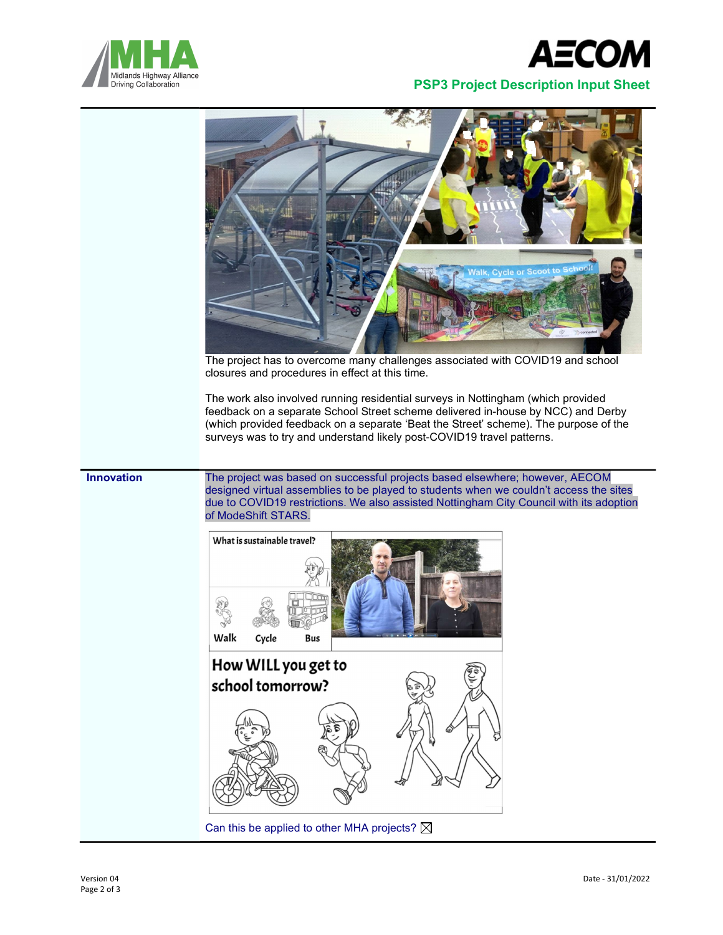